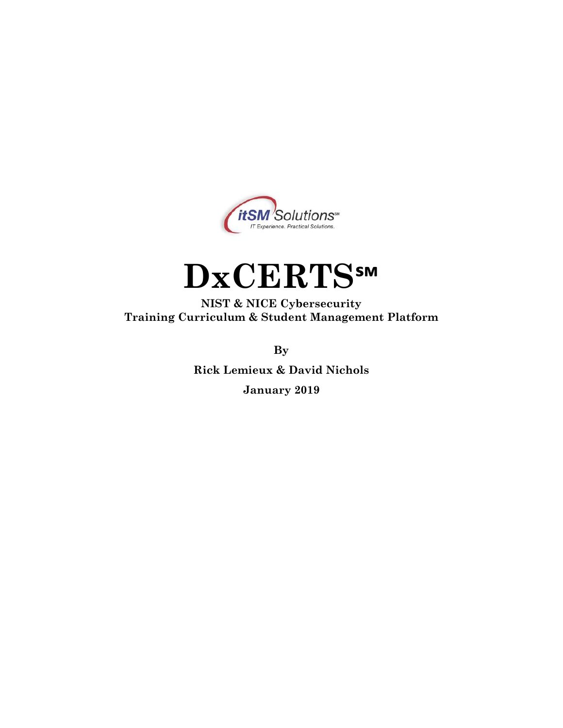

# **DxCERTS℠**

**NIST & NICE Cybersecurity Training Curriculum & Student Management Platform**

**By**

**Rick Lemieux & David Nichols January 2019**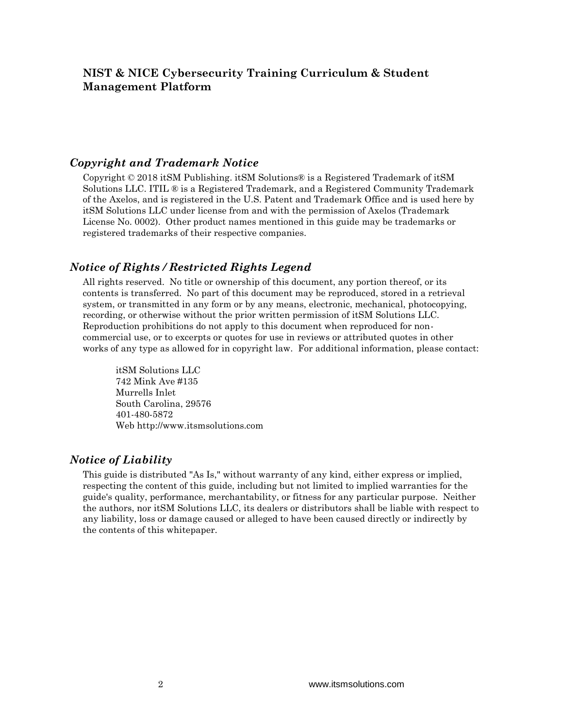#### *Copyright and Trademark Notice*

Copyright © 2018 itSM Publishing. itSM Solutions® is a Registered Trademark of itSM Solutions LLC. ITIL ® is a Registered Trademark, and a Registered Community Trademark of the Axelos, and is registered in the U.S. Patent and Trademark Office and is used here by itSM Solutions LLC under license from and with the permission of Axelos (Trademark License No. 0002). Other product names mentioned in this guide may be trademarks or registered trademarks of their respective companies.

#### *Notice of Rights / Restricted Rights Legend*

All rights reserved. No title or ownership of this document, any portion thereof, or its contents is transferred. No part of this document may be reproduced, stored in a retrieval system, or transmitted in any form or by any means, electronic, mechanical, photocopying, recording, or otherwise without the prior written permission of itSM Solutions LLC. Reproduction prohibitions do not apply to this document when reproduced for noncommercial use, or to excerpts or quotes for use in reviews or attributed quotes in other works of any type as allowed for in copyright law. For additional information, please contact:

itSM Solutions LLC 742 Mink Ave #135 Murrells Inlet South Carolina, 29576 401-480-5872 Web http://www.itsmsolutions.com

#### *Notice of Liability*

This guide is distributed "As Is," without warranty of any kind, either express or implied, respecting the content of this guide, including but not limited to implied warranties for the guide's quality, performance, merchantability, or fitness for any particular purpose. Neither the authors, nor itSM Solutions LLC, its dealers or distributors shall be liable with respect to any liability, loss or damage caused or alleged to have been caused directly or indirectly by the contents of this whitepaper.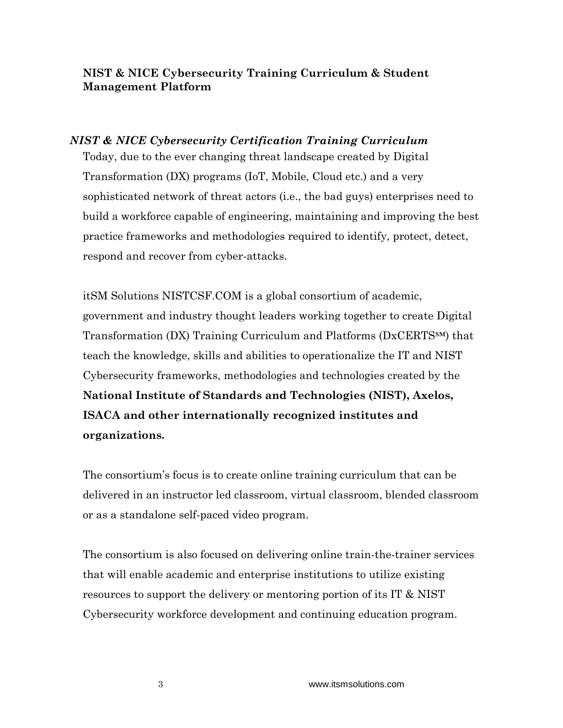#### *NIST & NICE Cybersecurity Certification Training Curriculum* Today, due to the ever changing threat landscape created by Digital

Transformation (DX) programs (IoT, Mobile, Cloud etc.) and a very sophisticated network of threat actors (i.e., the bad guys) enterprises need to build a workforce capable of engineering, maintaining and improving the best practice frameworks and methodologies required to identify, protect, detect, respond and recover from cyber-attacks.

itSM Solutions NISTCSF.COM is a global consortium of academic, government and industry thought leaders working together to create Digital Transformation (DX) Training Curriculum and Platforms (DxCERTS℠) that teach the knowledge, skills and abilities to operationalize the IT and NIST Cybersecurity frameworks, methodologies and technologies created by the **National Institute of Standards and Technologies (NIST), Axelos, ISACA and other internationally recognized institutes and organizations.**

The consortium's focus is to create online training curriculum that can be delivered in an instructor led classroom, virtual classroom, blended classroom or as a standalone self-paced video program.

The consortium is also focused on delivering online train-the-trainer services that will enable academic and enterprise institutions to utilize existing resources to support the delivery or mentoring portion of its IT & NIST Cybersecurity workforce development and continuing education program.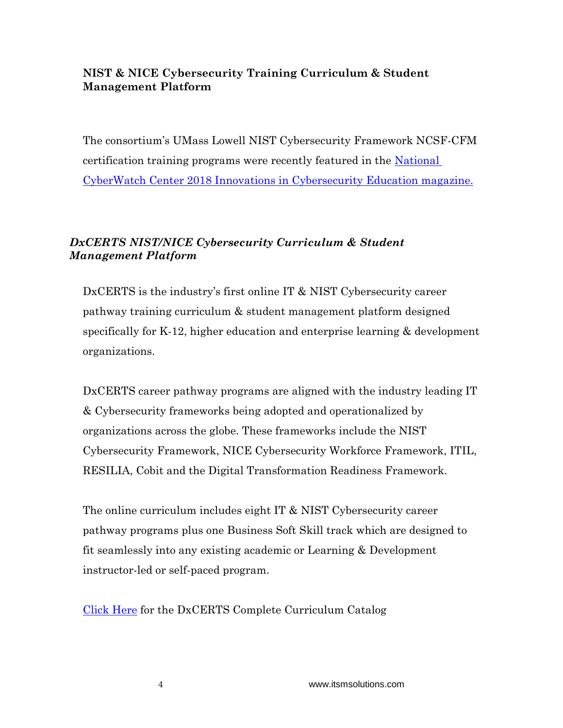The consortium's UMass Lowell NIST Cybersecurity Framework NCSF-CFM certification training programs were recently featured in the National [CyberWatch Center 2018 Innovations in Cybersecurity Education magazine.](https://nationalcyberwatchcenter.wildapricot.org/resources/Public%20Resourses/Innovations%20in%20Cybersecurity%20Education/NCC%20-%202018%20Innovations%20in%20Cybersecurity%20Education_WEB.pdf)

## *DxCERTS NIST/NICE Cybersecurity Curriculum & Student Management Platform*

DxCERTS is the industry's first online IT & NIST Cybersecurity career pathway training curriculum & student management platform designed specifically for K-12, higher education and enterprise learning & development organizations.

DxCERTS career pathway programs are aligned with the industry leading IT & Cybersecurity frameworks being adopted and operationalized by organizations across the globe. These frameworks include the NIST Cybersecurity Framework, NICE Cybersecurity Workforce Framework, ITIL, RESILIA, Cobit and the Digital Transformation Readiness Framework.

The online curriculum includes eight IT & NIST Cybersecurity career pathway programs plus one Business Soft Skill track which are designed to fit seamlessly into any existing academic or Learning & Development instructor-led or self-paced program.

[Click Here](https://www.itsmsolutions.com/wp-content/uploads/2019/03/DxCERTS-Course-Catalog-Feb-2019-rev3.pdf) for the DxCERTS Complete Curriculum Catalog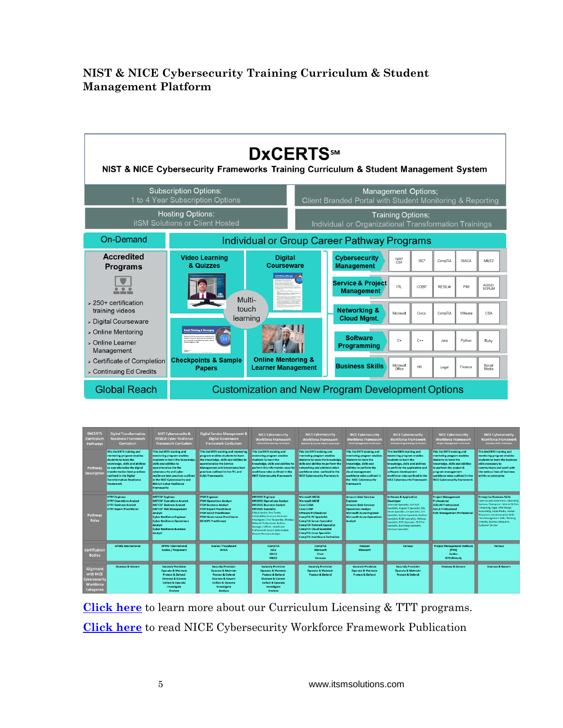

| <b>DxCERTS</b><br>Curriculum<br>Pathways                                         | <b>Digital Transformation</b><br><b>Readiness Framework</b><br>Curriculum                                                                                                                                                                                       | <b>NIST Cybersecurity &amp;</b><br><b>RESILIA Cyber Resilience</b><br><b>Framework Curriculum</b>                                                                                                                                                                                                        | <b>Digital Service Management &amp;</b><br><b>Digital Governance</b><br><b>Framework Curriculum</b>                                                                                                                                                        | <b>NICE Cybersecurity</b><br><b>Workforce Framework</b><br><b>Information Security Curriculum</b>                                                                                                                                                                                                                                                                                      | <b>NICE Cybersecurity</b><br><b>Workforce Framework</b><br>Network & System Admin Curriculum                                                                                                                                                                                                                                                  | <b>NICE Cybersecurity</b><br><b>Workforce Framework</b><br>Cloud Management Curriculum                                                                                                                                         | <b>NICE Cybersecurity</b><br><b>Workforce Framework</b><br>Software Programming Curriculum                                                                                                                                                                                                                                                                     | <b>NICE Cybersecurity</b><br><b>Workforce Framework</b><br><b>Project Management Curriculum</b>                                                                                                                                                | <b>NICE Cybersecurity</b><br><b>Workforce Framework</b><br><b>Business Skills Curriculum</b>                                                                                                                                                                                                                              |
|----------------------------------------------------------------------------------|-----------------------------------------------------------------------------------------------------------------------------------------------------------------------------------------------------------------------------------------------------------------|----------------------------------------------------------------------------------------------------------------------------------------------------------------------------------------------------------------------------------------------------------------------------------------------------------|------------------------------------------------------------------------------------------------------------------------------------------------------------------------------------------------------------------------------------------------------------|----------------------------------------------------------------------------------------------------------------------------------------------------------------------------------------------------------------------------------------------------------------------------------------------------------------------------------------------------------------------------------------|-----------------------------------------------------------------------------------------------------------------------------------------------------------------------------------------------------------------------------------------------------------------------------------------------------------------------------------------------|--------------------------------------------------------------------------------------------------------------------------------------------------------------------------------------------------------------------------------|----------------------------------------------------------------------------------------------------------------------------------------------------------------------------------------------------------------------------------------------------------------------------------------------------------------------------------------------------------------|------------------------------------------------------------------------------------------------------------------------------------------------------------------------------------------------------------------------------------------------|---------------------------------------------------------------------------------------------------------------------------------------------------------------------------------------------------------------------------------------------------------------------------------------------------------------------------|
| Pathway<br><b>Description</b>                                                    | This DxCERTS training and<br>mentoring program enables<br>students to learn the<br>knowledge, skills and abilities<br>to operationalize the digital<br>transformation best practices<br>outlined in the Digital<br><b>Transformation Readiness</b><br>Framework | This DxCERTS training and<br>mentoring program enables<br>students to learn the knowledge<br>skills and abilities to<br>operationalize the the<br>cybersecurity and cyber<br>resilience best practices outlined<br>in the NIST Cybersecurity and<br><b>RESILIA Cyber Resilience</b><br><b>Frameworks</b> | This DxCERTS training and mentoring<br>program enables students to learn<br>the knowledge, skills and abilities to<br>operationalize the Service<br><b>Management and Governance best</b><br>practices outlined in the ITIL and<br><b>Cobit Frameworks</b> | This DxCERTS training and<br>mentoring program enables<br>students to learn the<br>knowledge, skills and abilities to<br>perform the information security<br>workforce roles outlined in the<br><b>NICE Cybersecurity Framework</b>                                                                                                                                                    | This DxCERTS training and<br>mentoring program enables<br>students to learn the knowledge,<br>skills and abilities to perform the<br>networking and administration<br>workforce roles outlined in the<br><b>NICE Cybersecurity Framework</b>                                                                                                  | This DxCERTS training and<br>mentoring program enables<br>students to learn the<br>knowledge, skills and<br>abilities to perform the<br>cloud management<br>workforce roles outlined in<br>the NICE Cybersecurity<br>Framework | This DxCERTS training and<br>mentoring program enables<br>students to learn the<br>knowledge, skills and abilities<br>to perform the application and<br>software development<br>workforce roles outlined in the<br><b>NICE Cybersecurity Framework</b>                                                                                                         | This DxCERTS training and<br>mentoring program enables<br>students to learn the<br>knowledge, skills and abilities<br>to perform the project &<br>program management<br>workforce roles outlined in the<br><b>NICE Cybersecurity Framework</b> | This DxCERTS training and<br>mentoring program enables<br>students to learn the business<br>skills necessary to<br>communicate and work with<br>the various lines of business<br>within an enterprise                                                                                                                     |
| Pathway<br><b>Roles</b>                                                          | <b>DTRF</b> Engineer<br><b>DTRF Operations Analyst</b><br><b>DTRF Business Analyst</b><br><b>DTRF Expert Practitioner</b>                                                                                                                                       | <b>NISTCSF Engineer</b><br><b>NISTCSF Operations Analyst</b><br><b>NISTCSF Business Analyst</b><br><b>NISTCSF Risk Management</b><br>Analyst<br><b>Cyber Resilience Engineer</b><br><b>Cyber Resilience Operations</b><br>Analyst<br><b>Cyber Resilience Business</b><br><b>Analyst</b>                  | <b>ITSM Engineer</b><br><b>ITSM Operations Analyst</b><br><b>ITSM Business Analyst</b><br><b>ITSM Expert Practitioner</b><br><b>ITSM AGILE Practitioner</b><br><b>ITSM Governance Practitioner</b><br><b>DEVOPS Practitioner</b>                           | <b>INFOSEC Engineer</b><br><b>INFOSEC Operations Analyst</b><br><b>INFOSEC Business Analyst</b><br><b>INFOSEC Specialist</b><br>Ethical Hacker, Pen Tester,<br>Vulnerability Assessor, Forensics<br>Investigator, First Responder, Wireles<br>Network Professional, Auditor.<br>Manager / Officer, Healthcare<br>Professional, Secure Web Analyst,<br><b>Disaster Recovery Analyst</b> | <b>Microsoft MCSA</b><br><b>Microsoft MCSE</b><br><b>Cisco CCNA</b><br><b>Cisco CCNP</b><br><b>VMware Professional</b><br><b>CompTIA PC Specialist</b><br><b>CompTIA Server Specialist</b><br><b>CompTIA Network Specialist</b><br><b>CompTIA Cloud Specialist</b><br><b>CompTIA Linux Specialist</b><br><b>CompTIA Healthcare Technician</b> | <b>Amazon Web Services</b><br>Engineer<br><b>Amazon Web Services</b><br><b>Operations Analyst</b><br>Microsoft Azure Engineer<br><b>Microsoft Azure Operations</b><br>Analyst                                                  | <b>Software &amp; Application</b><br>Developer<br>Javascript Specialist, ASP.NET<br>Specialist, Angular 5 Specialist, SQL<br>Server Specialist, C+ Specialist, C++<br>Specialist, Python Specialist, Runline<br>Specialist, RUBY Specialist, HADoop<br>Specialist, PERL Specialist, RESTful<br>Specialist, RootStrap Specialist,<br><b>Selenium Specialist</b> | <b>Project Management</b><br>Professional<br><b>SCRUM Professional</b><br><b>AGILE Professional</b><br><b>RISK Management Professional</b>                                                                                                     | <b>Enterprise Business Skills</b><br>Cybersecurity Awareness, Operating<br>Systems, Sharepoint, Internet & Core<br>Computing, Legal, Web Design,<br>Accounting, Social Media, Human<br>Resources, Communication Skills,<br>Time Management Skills, Thinking<br>Critically, Business Etiquette,<br><b>Customer Service</b> |
| <b>Certification</b><br><b>Bodies</b>                                            | <b>APMG</b> International                                                                                                                                                                                                                                       | <b>APMG</b> International<br><b>Axelos / Peoplecert</b>                                                                                                                                                                                                                                                  | <b>Axelos / Peoplecert</b><br><b>ISACA</b>                                                                                                                                                                                                                 | <b>CompTIA</b><br>ISC <sub>2</sub><br><b>ISACA</b><br>MILE2                                                                                                                                                                                                                                                                                                                            | <b>CompTIA</b><br>Microsoft<br>Cisco<br>Vmware                                                                                                                                                                                                                                                                                                | Amazon<br>Microsoft                                                                                                                                                                                                            | Various                                                                                                                                                                                                                                                                                                                                                        | <b>Project Management Institute</b><br>(PMI)<br>Axelos<br><b>SCRUMstudy</b>                                                                                                                                                                    | Various                                                                                                                                                                                                                                                                                                                   |
| Alignment<br>with NICE<br><b>vbersecurity:</b><br>Workforce<br><b>Categories</b> | <b>Oversee &amp; Govern</b>                                                                                                                                                                                                                                     | <b>Securely Provision</b><br><b>Operate &amp; Maintain</b><br><b>Protect &amp; Defend</b><br><b>Oversee &amp; Govern</b><br><b>Collect &amp; Operate</b><br>Investigate<br>Analyze                                                                                                                       | <b>Securely Provision</b><br><b>Operate &amp; Maintain</b><br><b>Protect &amp; Defend</b><br><b>Oversee &amp; Govern</b><br><b>Collect &amp; Operate</b><br><b>Investigate</b><br>Analyze                                                                  | <b>Securely Provision</b><br><b>Operate &amp; Maintain</b><br><b>Protect &amp; Defend</b><br><b>Oversee &amp; Govern</b><br><b>Collect &amp; Operate</b><br><b>Investigate</b><br>Analyze                                                                                                                                                                                              | <b>Securely Provision</b><br><b>Operate &amp; Maintain</b><br><b>Protect &amp; Defend</b>                                                                                                                                                                                                                                                     | <b>Securely Provision</b><br><b>Operate &amp; Maintain</b><br><b>Protect &amp; Defend</b>                                                                                                                                      | <b>Securely Provision</b><br><b>Operate &amp; Maintain</b><br><b>Protect &amp; Defend</b>                                                                                                                                                                                                                                                                      | <b>Oversee &amp; Govern</b>                                                                                                                                                                                                                    | <b>Oversee &amp; Govern</b>                                                                                                                                                                                                                                                                                               |

**[Click here](https://nistcsf.com/nistcsf-com-licensing-partner/)** to learn more about our Curriculum Licensing & TTT programs. **[Click here](https://nistcsf.com/wp-content/uploads/2019/01/NIST.SP_.800-181-1.pdf)** to read NICE Cybersecurity Workforce Framework Publication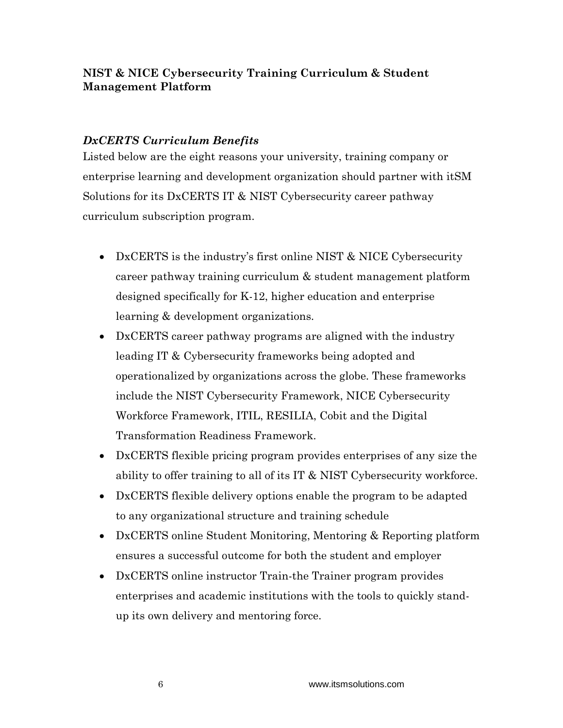## *DxCERTS Curriculum Benefits*

Listed below are the eight reasons your university, training company or enterprise learning and development organization should partner with itSM Solutions for its DxCERTS IT & NIST Cybersecurity career pathway curriculum subscription program.

- DxCERTS is the industry's first online NIST & NICE Cybersecurity career pathway training curriculum & student management platform designed specifically for K-12, higher education and enterprise learning & development organizations.
- DxCERTS career pathway programs are aligned with the industry leading IT & Cybersecurity frameworks being adopted and operationalized by organizations across the globe. These frameworks include the NIST Cybersecurity Framework, NICE Cybersecurity Workforce Framework, ITIL, RESILIA, Cobit and the Digital Transformation Readiness Framework.
- DxCERTS flexible pricing program provides enterprises of any size the ability to offer training to all of its IT & NIST Cybersecurity workforce.
- DxCERTS flexible delivery options enable the program to be adapted to any organizational structure and training schedule
- DxCERTS online Student Monitoring, Mentoring & Reporting platform ensures a successful outcome for both the student and employer
- DxCERTS online instructor Train-the Trainer program provides enterprises and academic institutions with the tools to quickly standup its own delivery and mentoring force.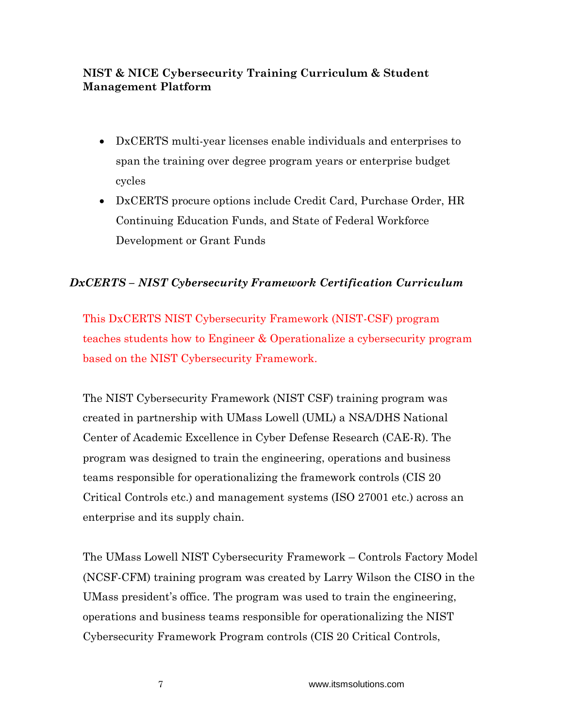- DxCERTS multi-year licenses enable individuals and enterprises to span the training over degree program years or enterprise budget cycles
- DxCERTS procure options include Credit Card, Purchase Order, HR Continuing Education Funds, and State of Federal Workforce Development or Grant Funds

## *DxCERTS – NIST Cybersecurity Framework Certification Curriculum*

This DxCERTS NIST Cybersecurity Framework (NIST-CSF) program teaches students how to Engineer & Operationalize a cybersecurity program based on the NIST Cybersecurity Framework.

The NIST Cybersecurity Framework (NIST CSF) training program was created in partnership with UMass Lowell (UML) a NSA/DHS National Center of Academic Excellence in Cyber Defense Research (CAE-R). The program was designed to train the engineering, operations and business teams responsible for operationalizing the framework controls (CIS 20 Critical Controls etc.) and management systems (ISO 27001 etc.) across an enterprise and its supply chain.

The UMass Lowell NIST Cybersecurity Framework – Controls Factory Model (NCSF-CFM) training program was created by Larry Wilson the CISO in the UMass president's office. The program was used to train the engineering, operations and business teams responsible for operationalizing the NIST Cybersecurity Framework Program controls (CIS 20 Critical Controls,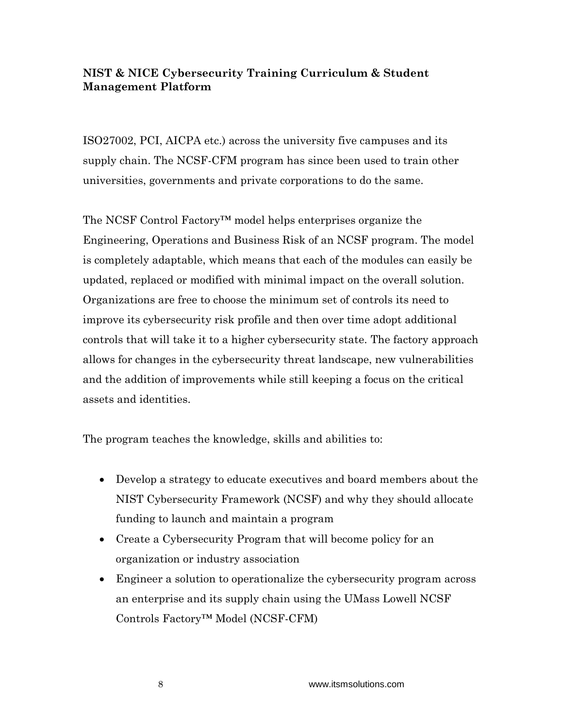ISO27002, PCI, AICPA etc.) across the university five campuses and its supply chain. The NCSF-CFM program has since been used to train other universities, governments and private corporations to do the same.

The NCSF Control Factory™ model helps enterprises organize the Engineering, Operations and Business Risk of an NCSF program. The model is completely adaptable, which means that each of the modules can easily be updated, replaced or modified with minimal impact on the overall solution. Organizations are free to choose the minimum set of controls its need to improve its cybersecurity risk profile and then over time adopt additional controls that will take it to a higher cybersecurity state. The factory approach allows for changes in the cybersecurity threat landscape, new vulnerabilities and the addition of improvements while still keeping a focus on the critical assets and identities.

The program teaches the knowledge, skills and abilities to:

- Develop a strategy to educate executives and board members about the NIST Cybersecurity Framework (NCSF) and why they should allocate funding to launch and maintain a program
- Create a Cybersecurity Program that will become policy for an organization or industry association
- Engineer a solution to operationalize the cybersecurity program across an enterprise and its supply chain using the UMass Lowell NCSF Controls Factory™ Model (NCSF-CFM)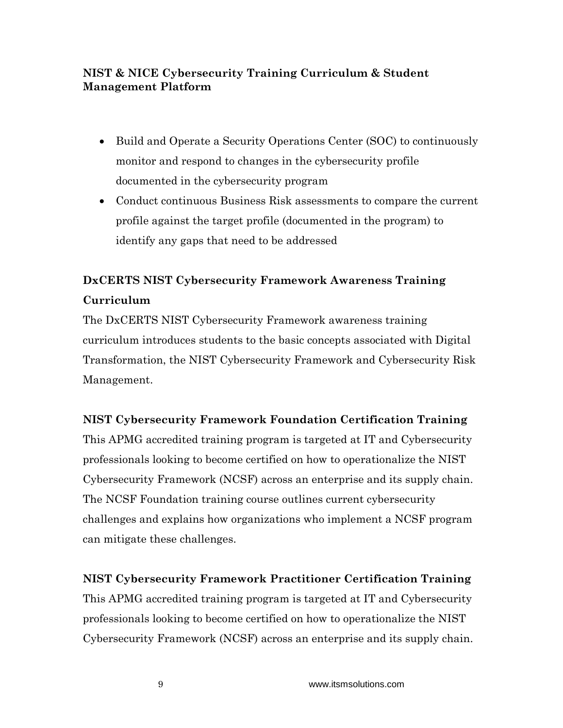- Build and Operate a Security Operations Center (SOC) to continuously monitor and respond to changes in the cybersecurity profile documented in the cybersecurity program
- Conduct continuous Business Risk assessments to compare the current profile against the target profile (documented in the program) to identify any gaps that need to be addressed

## **DxCERTS NIST Cybersecurity Framework Awareness Training Curriculum**

The DxCERTS NIST Cybersecurity Framework awareness training curriculum introduces students to the basic concepts associated with Digital Transformation, the NIST Cybersecurity Framework and Cybersecurity Risk Management.

## **NIST Cybersecurity Framework Foundation Certification Training**

This APMG accredited training program is targeted at IT and Cybersecurity professionals looking to become certified on how to operationalize the NIST Cybersecurity Framework (NCSF) across an enterprise and its supply chain. The NCSF Foundation training course outlines current cybersecurity challenges and explains how organizations who implement a NCSF program can mitigate these challenges.

## **NIST Cybersecurity Framework Practitioner Certification Training**

This APMG accredited training program is targeted at IT and Cybersecurity professionals looking to become certified on how to operationalize the NIST Cybersecurity Framework (NCSF) across an enterprise and its supply chain.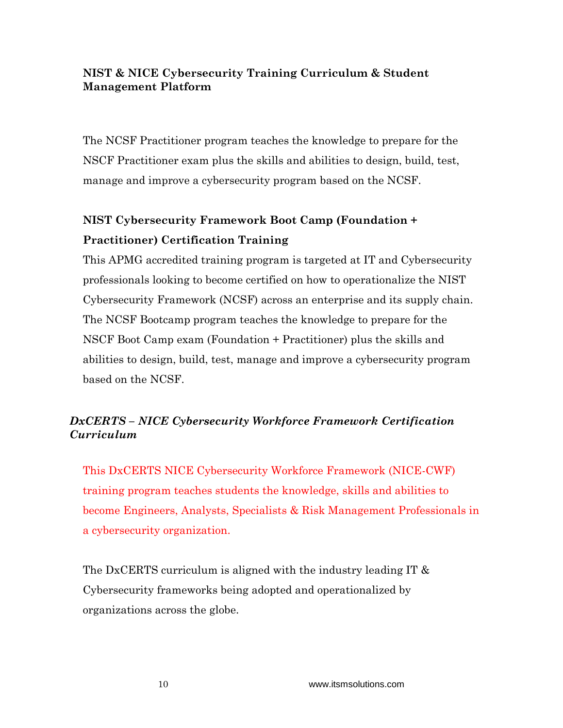The NCSF Practitioner program teaches the knowledge to prepare for the NSCF Practitioner exam plus the skills and abilities to design, build, test, manage and improve a cybersecurity program based on the NCSF.

# **NIST Cybersecurity Framework Boot Camp (Foundation + Practitioner) Certification Training**

This APMG accredited training program is targeted at IT and Cybersecurity professionals looking to become certified on how to operationalize the NIST Cybersecurity Framework (NCSF) across an enterprise and its supply chain. The NCSF Bootcamp program teaches the knowledge to prepare for the NSCF Boot Camp exam (Foundation + Practitioner) plus the skills and abilities to design, build, test, manage and improve a cybersecurity program based on the NCSF.

## *DxCERTS – NICE Cybersecurity Workforce Framework Certification Curriculum*

This DxCERTS NICE Cybersecurity Workforce Framework (NICE-CWF) training program teaches students the knowledge, skills and abilities to become Engineers, Analysts, Specialists & Risk Management Professionals in a cybersecurity organization.

The DxCERTS curriculum is aligned with the industry leading IT & Cybersecurity frameworks being adopted and operationalized by organizations across the globe.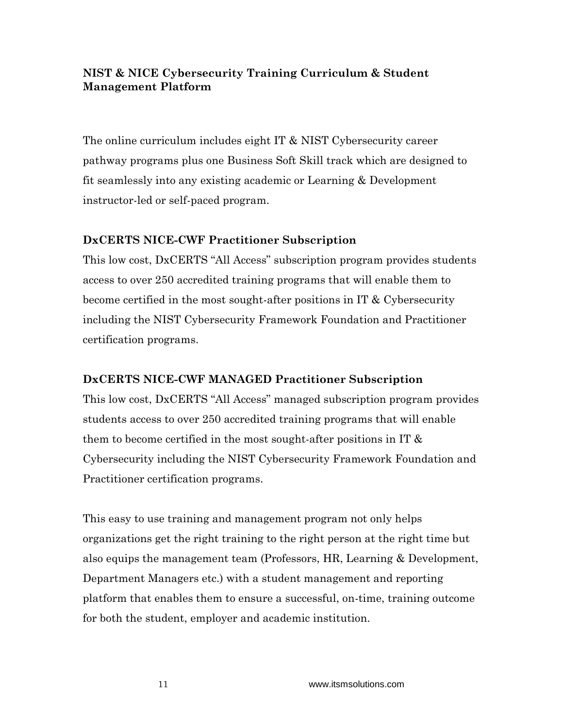The online curriculum includes eight IT & NIST Cybersecurity career pathway programs plus one Business Soft Skill track which are designed to fit seamlessly into any existing academic or Learning & Development instructor-led or self-paced program.

#### **DxCERTS NICE-CWF Practitioner Subscription**

This low cost, DxCERTS "All Access" subscription program provides students access to over 250 accredited training programs that will enable them to become certified in the most sought-after positions in IT & Cybersecurity including the NIST Cybersecurity Framework Foundation and Practitioner certification programs.

## **DxCERTS NICE-CWF MANAGED Practitioner Subscription**

This low cost, DxCERTS "All Access" managed subscription program provides students access to over 250 accredited training programs that will enable them to become certified in the most sought-after positions in IT  $\&$ Cybersecurity including the NIST Cybersecurity Framework Foundation and Practitioner certification programs.

This easy to use training and management program not only helps organizations get the right training to the right person at the right time but also equips the management team (Professors, HR, Learning & Development, Department Managers etc.) with a student management and reporting platform that enables them to ensure a successful, on-time, training outcome for both the student, employer and academic institution.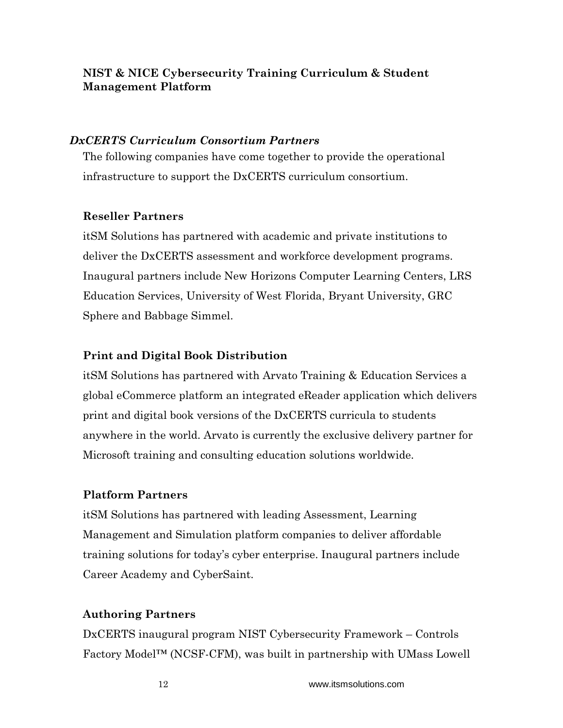#### *DxCERTS Curriculum Consortium Partners*

The following companies have come together to provide the operational infrastructure to support the DxCERTS curriculum consortium.

#### **Reseller Partners**

itSM Solutions has partnered with academic and private institutions to deliver the DxCERTS assessment and workforce development programs. Inaugural partners include New Horizons Computer Learning Centers, LRS Education Services, University of West Florida, Bryant University, GRC Sphere and Babbage Simmel.

## **Print and Digital Book Distribution**

itSM Solutions has partnered with Arvato Training & Education Services a global eCommerce platform an integrated eReader application which delivers print and digital book versions of the DxCERTS curricula to students anywhere in the world. Arvato is currently the exclusive delivery partner for Microsoft training and consulting education solutions worldwide.

## **Platform Partners**

itSM Solutions has partnered with leading Assessment, Learning Management and Simulation platform companies to deliver affordable training solutions for today's cyber enterprise. Inaugural partners include Career Academy and CyberSaint.

#### **Authoring Partners**

DxCERTS inaugural program NIST Cybersecurity Framework – Controls Factory Model™ (NCSF-CFM), was built in partnership with UMass Lowell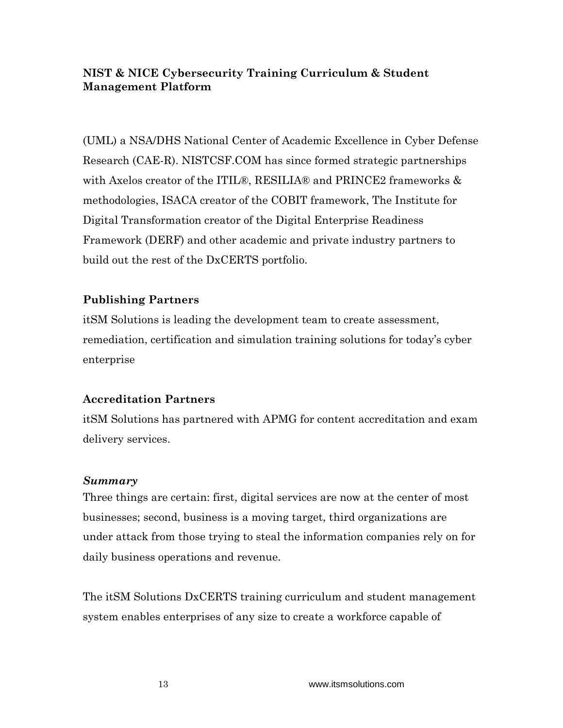(UML) a NSA/DHS National Center of Academic Excellence in Cyber Defense Research (CAE-R). NISTCSF.COM has since formed strategic partnerships with Axelos creator of the ITIL®, RESILIA® and PRINCE2 frameworks & methodologies, ISACA creator of the COBIT framework, The Institute for Digital Transformation creator of the Digital Enterprise Readiness Framework (DERF) and other academic and private industry partners to build out the rest of the DxCERTS portfolio.

## **Publishing Partners**

itSM Solutions is leading the development team to create assessment, remediation, certification and simulation training solutions for today's cyber enterprise

## **Accreditation Partners**

itSM Solutions has partnered with APMG for content accreditation and exam delivery services.

## *Summary*

Three things are certain: first, digital services are now at the center of most businesses; second, business is a moving target, third organizations are under attack from those trying to steal the information companies rely on for daily business operations and revenue.

The itSM Solutions DxCERTS training curriculum and student management system enables enterprises of any size to create a workforce capable of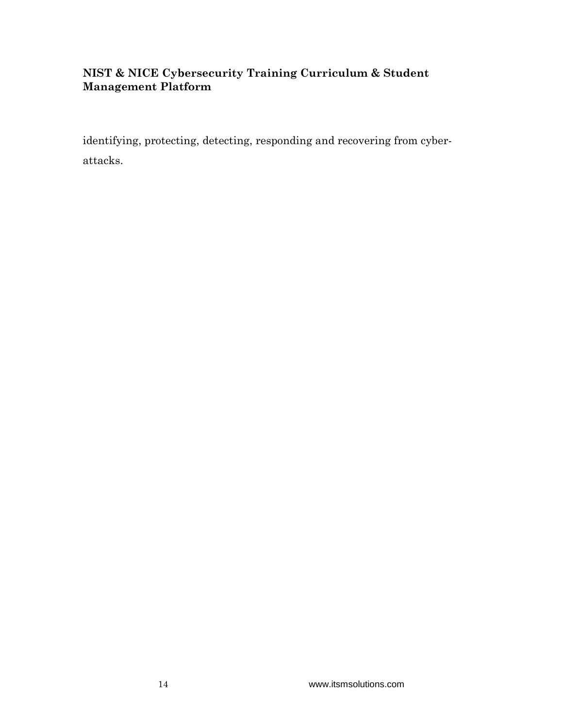identifying, protecting, detecting, responding and recovering from cyberattacks.